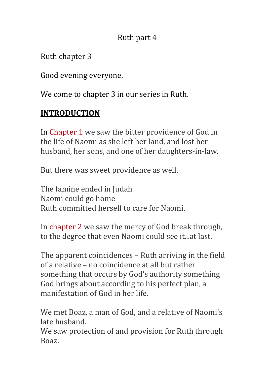## Ruth part 4

Ruth chapter 3

Good evening everyone.

We come to chapter 3 in our series in Ruth.

# **INTRODUCTION**

In Chapter 1 we saw the bitter providence of God in the life of Naomi as she left her land, and lost her husband, her sons, and one of her daughters-in-law.

But there was sweet providence as well.

The famine ended in Judah Naomi could go home Ruth committed herself to care for Naomi.

In chapter 2 we saw the mercy of God break through, to the degree that even Naomi could see it...at last.

The apparent coincidences - Ruth arriving in the field of a relative – no coincidence at all but rather something that occurs by God's authority something God brings about according to his perfect plan, a manifestation of God in her life.

We met Boaz, a man of God, and a relative of Naomi's late husband. 

We saw protection of and provision for Ruth through Boaz.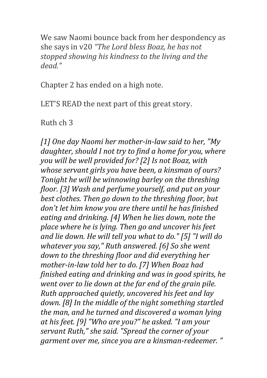We saw Naomi bounce back from her despondency as she says in v20 "The Lord bless Boaz, he has not stopped showing his kindness to the living and the *dead."*

Chapter 2 has ended on a high note.

LET'S READ the next part of this great story.

Ruth ch 3

[1] One day Naomi her mother-in-law said to her, "My *daughter, should I not try to find a home for you, where you will be well provided for?* [2] Is not Boaz, with *whose servant girls you have been, a kinsman of ours? Tonight he will be winnowing barley on the threshing floor.* [3] Wash and perfume yourself, and put on your *best clothes. Then go down to the threshing floor, but* don't let him know you are there until he has finished *eating and drinking.* [4] When he lies down, note the place where he is lying. Then go and uncover his feet and lie down. He will tell you what to do." [5] "I will do *whatever you say,"* Ruth answered. [6] So she went down to the threshing floor and did everything her *mother-in-law told her to do.* [7] When Boaz had *finished eating and drinking and was in good spirits, he went over to lie down at the far end of the grain pile. Ruth approached quietly, uncovered his feet and lay down.* [8] In the middle of the night something startled *the man, and he turned and discovered a woman lying* at his feet. [9] "Who are you?" he asked. "I am your servant Ruth," she said. "Spread the corner of your garment over me, since you are a kinsman-redeemer. "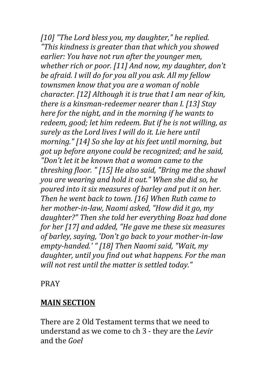[10] "The Lord bless you, my daughter," he replied. *"This kindness is areater than that which you showed earlier: You have not run after the younger men, whether rich or poor.* [11] And now, my daughter, don't be afraid. I will do for you all you ask. All my fellow townsmen know that you are a woman of noble *character.* [12] Although it is true that I am near of kin, *there is a kinsman-redeemer nearer than I. [13] Stay here for the night, and in the morning if he wants to* redeem, good; let him redeem. But if he is not willing, as surely as the Lord lives I will do it. Lie here until *morning."* [14] So she lay at his feet until morning, but *got up before anyone could be recognized; and he said, "Don't let it be known that a woman came to the threshing floor.* " [15] He also said, "Bring me the shawl *you are wearing and hold it out." When she did so, he* poured into it six measures of barley and put it on her. *Then he went back to town.* [16] When Ruth came to *her* mother-in-law, Naomi asked, "How did it go, my daughter?" Then she told her everything Boaz had done *for her* [17] and added, "He gave me these six measures of barley, saying, 'Don't go back to your mother-in-law empty-handed.' " [18] Then Naomi said, "Wait, my daughter, until you find out what happens. For the man *will not rest until the matter is settled today."* 

#### PRAY

## **MAIN SECTION**

There are 2 Old Testament terms that we need to understand as we come to ch 3 - they are the *Levir* and the *Goel*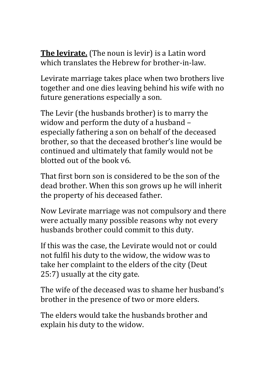**The levirate.** (The noun is levir) is a Latin word which translates the Hebrew for brother-in-law.

Levirate marriage takes place when two brothers live together and one dies leaving behind his wife with no future generations especially a son.

The Levir (the husbands brother) is to marry the widow and perform the duty of a husband especially fathering a son on behalf of the deceased brother, so that the deceased brother's line would be continued and ultimately that family would not be blotted out of the book v6.

That first born son is considered to be the son of the dead brother. When this son grows up he will inherit the property of his deceased father.

Now Levirate marriage was not compulsory and there were actually many possible reasons why not every husbands brother could commit to this duty.

If this was the case, the Levirate would not or could not fulfil his duty to the widow, the widow was to take her complaint to the elders of the city (Deut 25:7) usually at the city gate.

The wife of the deceased was to shame her husband's brother in the presence of two or more elders.

The elders would take the husbands brother and explain his duty to the widow.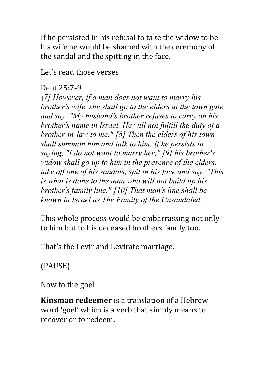If he persisted in his refusal to take the widow to be his wife he would be shamed with the ceremony of the sandal and the spitting in the face.

Let's read those verses

#### Deut 25:7-9

[*7] However, if a man does not want to marry his brother's wife, she shall go to the elders at the town gate and say, "My husband's brother refuses to carry on his brother's name in Israel. He will not fulfill the duty of a brother-in-law to me." [8] Then the elders of his town shall summon him and talk to him. If he persists in saying, "I do not want to marry her," [9] his brother's widow shall go up to him in the presence of the elders, take off one of his sandals, spit in his face and say, "This is what is done to the man who will not build up his brother's family line." [10] That man's line shall be known in Israel as The Family of the Unsandaled.*

This whole process would be embarrassing not only to him but to his deceased brothers family too.

That's the Levir and Levirate marriage.

(PAUSE)

Now to the goel

**Kinsman redeemer** is a translation of a Hebrew word 'goel' which is a verb that simply means to recover or to redeem.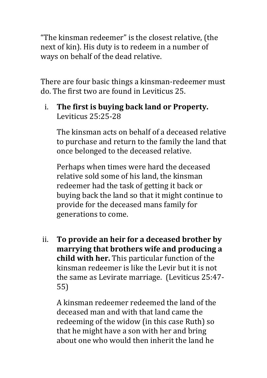"The kinsman redeemer" is the closest relative, (the next of kin). His duty is to redeem in a number of ways on behalf of the dead relative.

There are four basic things a kinsman-redeemer must do. The first two are found in Leviticus 25.

i. The first is buying back land or Property. Leviticus 25:25-28

The kinsman acts on behalf of a deceased relative to purchase and return to the family the land that once belonged to the deceased relative.

Perhaps when times were hard the deceased relative sold some of his land, the kinsman redeemer had the task of getting it back or buying back the land so that it might continue to provide for the deceased mans family for generations to come.

ii. To provide an heir for a deceased brother by **marrying that brothers wife and producing a child with her.** This particular function of the kinsman redeemer is like the Levir but it is not the same as Levirate marriage. (Leviticus 25:47-55)

A kinsman redeemer redeemed the land of the deceased man and with that land came the redeeming of the widow (in this case Ruth) so that he might have a son with her and bring about one who would then inherit the land he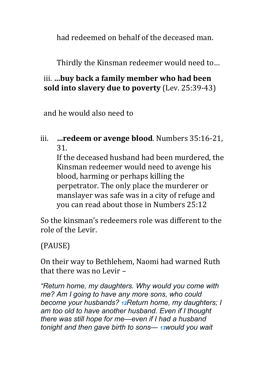had redeemed on behalf of the deceased man.

Thirdly the Kinsman redeemer would need to...

## iii. ...buy back a family member who had been **sold into slavery due to poverty** (Lev. 25:39-43)

and he would also need to

#### iii. **…redeem or avenge blood**. Numbers 35:16-21, 31.

If the deceased husband had been murdered, the Kinsman redeemer would need to avenge his blood, harming or perhaps killing the perpetrator. The only place the murderer or manslayer was safe was in a city of refuge and you can read about those in Numbers 25:12

So the kinsman's redeemers role was different to the role of the Levir.

(PAUSE)

On their way to Bethlehem, Naomi had warned Ruth that there was no Levir  $-$ 

*"Return home, my daughters. Why would you come with me? Am I going to have any more sons, who could become your husbands? 12Return home, my daughters; I am too old to have another husband. Even if I thought there was still hope for me—even if I had a husband tonight and then gave birth to sons— <sup>13</sup>would you wait*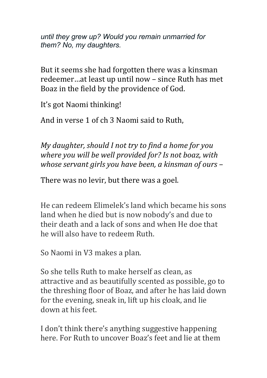*until they grew up? Would you remain unmarried for them? No, my daughters.*

But it seems she had forgotten there was a kinsman redeemer...at least up until now - since Ruth has met Boaz in the field by the providence of God.

It's got Naomi thinking!

And in verse 1 of ch 3 Naomi said to Ruth.

*My daughter, should I not try to find a home for you where you will be well provided for? Is not boaz, with whose servant girls you have been, a kinsman of ours*  $-$ 

There was no levir, but there was a goel.

He can redeem Elimelek's land which became his sons land when he died but is now nobody's and due to their death and a lack of sons and when He doe that he will also have to redeem Ruth.

So Naomi in V3 makes a plan.

So she tells Ruth to make herself as clean, as attractive and as beautifully scented as possible, go to the threshing floor of Boaz, and after he has laid down for the evening, sneak in, lift up his cloak, and lie down at his feet.

I don't think there's anything suggestive happening here. For Ruth to uncover Boaz's feet and lie at them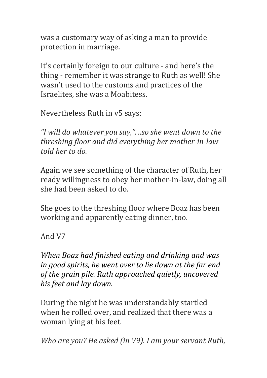was a customary way of asking a man to provide protection in marriage.

It's certainly foreign to our culture - and here's the thing - remember it was strange to Ruth as well! She wasn't used to the customs and practices of the Israelites, she was a Moabitess.

Nevertheless Ruth in v5 says:

"I will do whatever you say,". ..so she went down to the *threshing floor and did everything her mother-in-law told her to do.*

Again we see something of the character of Ruth, her ready willingness to obey her mother-in-law, doing all she had been asked to do.

She goes to the threshing floor where Boaz has been working and apparently eating dinner, too.

And V7

*When Boaz had finished eating and drinking and was in good spirits, he went over to lie down at the far end* of the grain pile. Ruth approached quietly, uncovered his feet and lay down.

During the night he was understandably startled when he rolled over, and realized that there was a woman lying at his feet.

*Who are you? He asked (in V9). I am your servant Ruth,*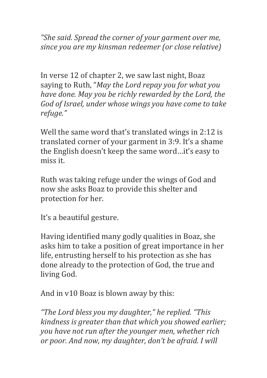*"She said. Spread the corner of your garment over me, since you are my kinsman redeemer (or close relative)* 

In verse 12 of chapter 2, we saw last night, Boaz saying to Ruth, "*May the Lord repay you for what you have done. May you be richly rewarded by the Lord, the* God of Israel, under whose wings you have come to take *refuge."*

Well the same word that's translated wings in 2:12 is translated corner of your garment in 3:9. It's a shame the English doesn't keep the same word...it's easy to miss it. 

Ruth was taking refuge under the wings of God and now she asks Boaz to provide this shelter and protection for her.

It's a beautiful gesture.

Having identified many godly qualities in Boaz, she asks him to take a position of great importance in her life, entrusting herself to his protection as she has done already to the protection of God, the true and living God.

And in  $v10$  Boaz is blown away by this:

*"The Lord bless you my daughter," he replied. "This kindness is greater than that which you showed earlier; you have not run after the younger men, whether rich or poor. And now, my daughter, don't be afraid. I will*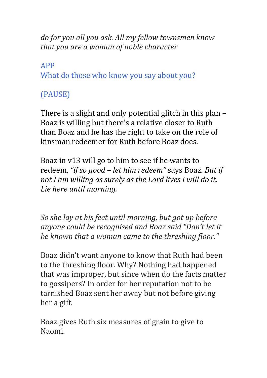*do for you all you ask. All my fellow townsmen know that you are a woman of noble character* 

APP What do those who know you say about you?

# (PAUSE)

There is a slight and only potential glitch in this plan  $-$ Boaz is willing but there's a relative closer to Ruth than Boaz and he has the right to take on the role of kinsman redeemer for Ruth before Boaz does.

Boaz in  $v13$  will go to him to see if he wants to redeem, "*if so good – let him redeem"* says Boaz. But if not I am willing as surely as the Lord lives I will do it. Lie here until morning.

*So she lay at his feet until morning, but got up before* anyone could be recognised and Boaz said "Don't let it be known that a woman came to the threshing floor."

Boaz didn't want anyone to know that Ruth had been to the threshing floor. Why? Nothing had happened that was improper, but since when do the facts matter to gossipers? In order for her reputation not to be tarnished Boaz sent her away but not before giving her a gift.

Boaz gives Ruth six measures of grain to give to Naomi.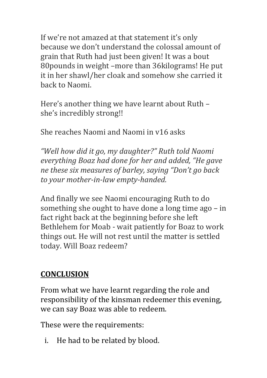If we're not amazed at that statement it's only because we don't understand the colossal amount of grain that Ruth had just been given! It was a bout 80 pounds in weight -more than 36 kilograms! He put it in her shawl/her cloak and somehow she carried it back to Naomi.

Here's another thing we have learnt about Ruth – she's incredibly strong!!

She reaches Naomi and Naomi in y16 asks

*"Well how did it go, my daughter?" Ruth told Naomi everything Boaz had done for her and added, "He gave ne these six measures of barley, saying "Don't go back* to your mother-in-law empty-handed.

And finally we see Naomi encouraging Ruth to do something she ought to have done a long time  $ago - in$ fact right back at the beginning before she left Bethlehem for Moab - wait patiently for Boaz to work things out. He will not rest until the matter is settled today. Will Boaz redeem?

# **CONCLUSION**

From what we have learnt regarding the role and responsibility of the kinsman redeemer this evening, we can say Boaz was able to redeem.

These were the requirements:

i. He had to be related by blood.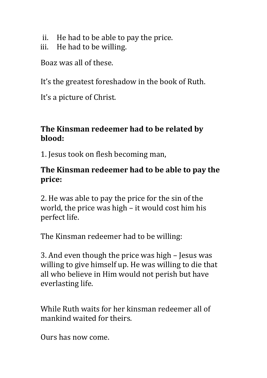- ii. He had to be able to pay the price.
- iii. He had to be willing.

Boaz was all of these.

It's the greatest foreshadow in the book of Ruth.

It's a picture of Christ.

# **The Kinsman redeemer had to be related by blood:**

1. Jesus took on flesh becoming man,

## The Kinsman redeemer had to be able to pay the **price:**

2. He was able to pay the price for the sin of the world, the price was high  $-$  it would cost him his perfect life.

The Kinsman redeemer had to be willing:

3. And even though the price was high - Jesus was willing to give himself up. He was willing to die that all who believe in Him would not perish but have everlasting life.

While Ruth waits for her kinsman redeemer all of mankind waited for theirs.

Ours has now come.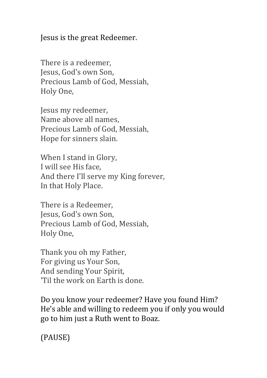Jesus is the great Redeemer.

There is a redeemer, Jesus, God's own Son, Precious Lamb of God, Messiah, Holy One, 

Jesus my redeemer, Name above all names, Precious Lamb of God, Messiah, Hope for sinners slain.

When I stand in Glory, I will see His face, And there I'll serve my King forever, In that Holy Place.

There is a Redeemer. Jesus, God's own Son, Precious Lamb of God, Messiah, Holy One, 

Thank you oh my Father, For giving us Your Son, And sending Your Spirit, 'Til the work on Earth is done.

Do you know your redeemer? Have you found Him? He's able and willing to redeem you if only you would go to him just a Ruth went to Boaz.

(PAUSE)